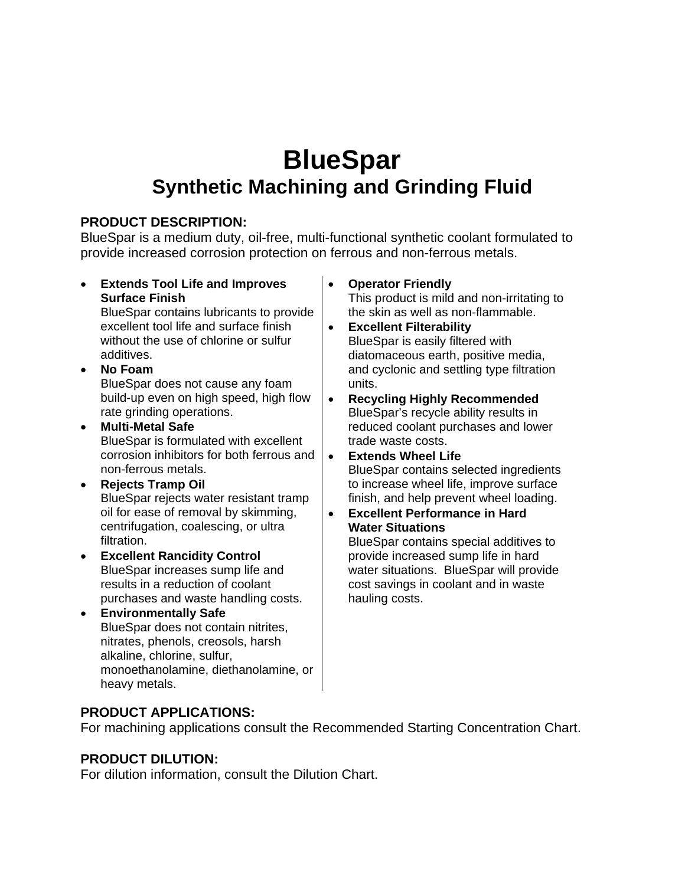# **BlueSpar Synthetic Machining and Grinding Fluid**

### **PRODUCT DESCRIPTION:**

BlueSpar is a medium duty, oil-free, multi-functional synthetic coolant formulated to provide increased corrosion protection on ferrous and non-ferrous metals.

• **Extends Tool Life and Improves Surface Finish**

BlueSpar contains lubricants to provide excellent tool life and surface finish without the use of chlorine or sulfur additives.

- **No Foam**  BlueSpar does not cause any foam build-up even on high speed, high flow rate grinding operations.
- **Multi-Metal Safe**  BlueSpar is formulated with excellent corrosion inhibitors for both ferrous and non-ferrous metals.
- **Rejects Tramp Oil**  BlueSpar rejects water resistant tramp oil for ease of removal by skimming, centrifugation, coalescing, or ultra filtration.
- **Excellent Rancidity Control**  BlueSpar increases sump life and results in a reduction of coolant purchases and waste handling costs.
- **Environmentally Safe**  BlueSpar does not contain nitrites, nitrates, phenols, creosols, harsh alkaline, chlorine, sulfur, monoethanolamine, diethanolamine, or heavy metals.

• **Operator Friendly**

This product is mild and non-irritating to the skin as well as non-flammable.

- **Excellent Filterability**  BlueSpar is easily filtered with diatomaceous earth, positive media, and cyclonic and settling type filtration units.
- **Recycling Highly Recommended**  BlueSpar's recycle ability results in reduced coolant purchases and lower trade waste costs.
- **Extends Wheel Life**  BlueSpar contains selected ingredients to increase wheel life, improve surface finish, and help prevent wheel loading.
- **Excellent Performance in Hard Water Situations**

BlueSpar contains special additives to provide increased sump life in hard water situations. BlueSpar will provide cost savings in coolant and in waste hauling costs.

## **PRODUCT APPLICATIONS:**

For machining applications consult the Recommended Starting Concentration Chart.

## **PRODUCT DILUTION:**

For dilution information, consult the Dilution Chart.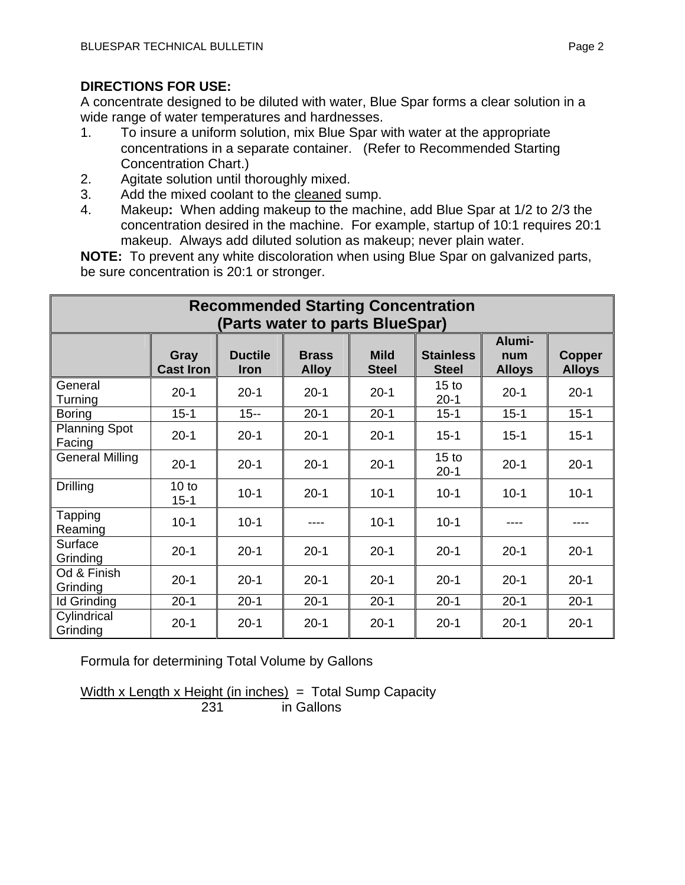A concentrate designed to be diluted with water, Blue Spar forms a clear solution in a wide range of water temperatures and hardnesses.

- 1. To insure a uniform solution, mix Blue Spar with water at the appropriate concentrations in a separate container. (Refer to Recommended Starting Concentration Chart.)
- 2. Agitate solution until thoroughly mixed.
- 3. Add the mixed coolant to the cleaned sump.
- 4. Makeup**:** When adding makeup to the machine, add Blue Spar at 1/2 to 2/3 the concentration desired in the machine. For example, startup of 10:1 requires 20:1 makeup. Always add diluted solution as makeup; never plain water.

**NOTE:** To prevent any white discoloration when using Blue Spar on galvanized parts, be sure concentration is 20:1 or stronger.

| <b>Recommended Starting Concentration</b> |                          |                               |                              |                             |                                  |                                |                         |  |  |
|-------------------------------------------|--------------------------|-------------------------------|------------------------------|-----------------------------|----------------------------------|--------------------------------|-------------------------|--|--|
| (Parts water to parts BlueSpar)           |                          |                               |                              |                             |                                  |                                |                         |  |  |
|                                           | Gray<br><b>Cast Iron</b> | <b>Ductile</b><br><b>Iron</b> | <b>Brass</b><br><b>Alloy</b> | <b>Mild</b><br><b>Steel</b> | <b>Stainless</b><br><b>Steel</b> | Alumi-<br>num<br><b>Alloys</b> | Copper<br><b>Alloys</b> |  |  |
| General<br>Turning                        | $20 - 1$                 | $20 - 1$                      | $20 - 1$                     | $20-1$                      | 15 <sub>to</sub><br>$20 - 1$     | $20-1$                         | $20 - 1$                |  |  |
| <b>Boring</b>                             | $15 - 1$                 | $15 -$                        | $20 - 1$                     | $20 - 1$                    | $15 - 1$                         | $15 - 1$                       | $15 - 1$                |  |  |
| <b>Planning Spot</b><br>Facing            | $20-1$                   | $20 - 1$                      | $20 - 1$                     | $20-1$                      | $15 - 1$                         | $15 - 1$                       | $15 - 1$                |  |  |
| <b>General Milling</b>                    | $20 - 1$                 | $20 - 1$                      | $20 - 1$                     | $20 - 1$                    | 15 <sub>to</sub><br>$20 - 1$     | $20 - 1$                       | $20 - 1$                |  |  |
| <b>Drilling</b>                           | 10 to<br>$15 - 1$        | $10-1$                        | $20 - 1$                     | $10-1$                      | $10 - 1$                         | $10 - 1$                       | $10 - 1$                |  |  |
| Tapping<br>Reaming                        | $10-1$                   | $10 - 1$                      |                              | $10-1$                      | $10-1$                           | ----                           |                         |  |  |
| Surface<br>Grinding                       | $20 - 1$                 | $20 - 1$                      | $20 - 1$                     | $20-1$                      | $20 - 1$                         | $20-1$                         | $20 - 1$                |  |  |
| Od & Finish<br>Grinding                   | $20 - 1$                 | $20 - 1$                      | $20 - 1$                     | $20 - 1$                    | $20 - 1$                         | $20-1$                         | $20-1$                  |  |  |
| <b>Id Grinding</b>                        | $20 - 1$                 | $20 - 1$                      | $20 - 1$                     | $20 - 1$                    | $20 - 1$                         | $20 - 1$                       | $20 - 1$                |  |  |
| Cylindrical<br>Grinding                   | $20-1$                   | $20 - 1$                      | $20-1$                       | $20 - 1$                    | $20 - 1$                         | $20 - 1$                       | $20-1$                  |  |  |

Formula for determining Total Volume by Gallons

Width x Length x Height (in inches)  $=$  Total Sump Capacity 231 in Gallons